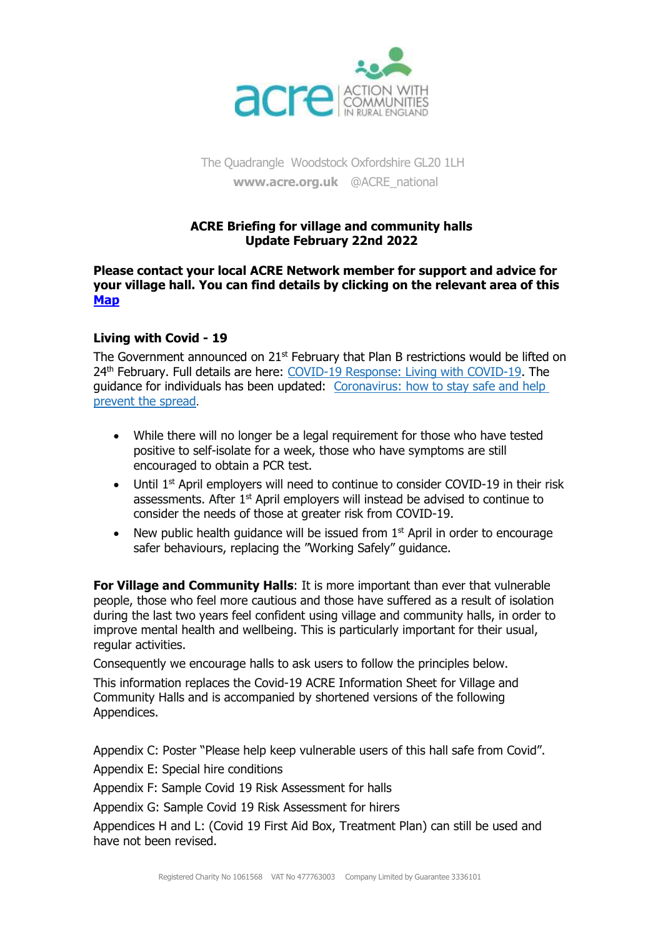

The Quadrangle Woodstock Oxfordshire GL20 1LH **[www.acre.org.uk](http://www.acre.org.uk/)** @ACRE\_national

### **ACRE Briefing for village and community halls Update February 22nd 2022**

#### **Please contact your local ACRE Network member for support and advice for your village hall. You can find details by clicking on the relevant area of this [Map](https://acre.org.uk/in-your-area/network-members/)**

# **Living with Covid - 19**

The Government announced on  $21<sup>st</sup>$  February that Plan B restrictions would be lifted on 24<sup>th</sup> February. Full details are here: [COVID-19 Response: Living with COVID-19.](https://www.gov.uk/government/publications/covid-19-response-living-with-covid-19?utm_medium=email&utm_campaign=govuk-notifications-topic&utm_source=cb05ae4a-7b0e-4d2e-94ff-7c9c3b0f0794&utm_content=daily) The guidance for individuals has been updated: [Coronavirus: how to stay safe and help](https://www.gov.uk/guidance/covid-19-coronavirus-restrictions-what-you-can-and-cannot-do?utm_medium=email&utm_campaign=govuk-notifications-topic&utm_source=e913a7b7-734a-4c6b-97e8-7e205c308426&utm_content=daily)  [prevent the spread](https://www.gov.uk/guidance/covid-19-coronavirus-restrictions-what-you-can-and-cannot-do?utm_medium=email&utm_campaign=govuk-notifications-topic&utm_source=e913a7b7-734a-4c6b-97e8-7e205c308426&utm_content=daily).

- While there will no longer be a legal requirement for those who have tested positive to self-isolate for a week, those who have symptoms are still encouraged to obtain a PCR test.
- Until 1<sup>st</sup> April employers will need to continue to consider COVID-19 in their risk assessments. After 1<sup>st</sup> April employers will instead be advised to continue to consider the needs of those at greater risk from COVID-19.
- New public health quidance will be issued from  $1<sup>st</sup>$  April in order to encourage safer behaviours, replacing the "Working Safely" guidance.

**For Village and Community Halls:** It is more important than ever that vulnerable people, those who feel more cautious and those have suffered as a result of isolation during the last two years feel confident using village and community halls, in order to improve mental health and wellbeing. This is particularly important for their usual, regular activities.

Consequently we encourage halls to ask users to follow the principles below.

This information replaces the Covid-19 ACRE Information Sheet for Village and Community Halls and is accompanied by shortened versions of the following Appendices.

Appendix C: Poster "Please help keep vulnerable users of this hall safe from Covid".

Appendix E: Special hire conditions

Appendix F: Sample Covid 19 Risk Assessment for halls

Appendix G: Sample Covid 19 Risk Assessment for hirers

Appendices H and L: (Covid 19 First Aid Box, Treatment Plan) can still be used and have not been revised.